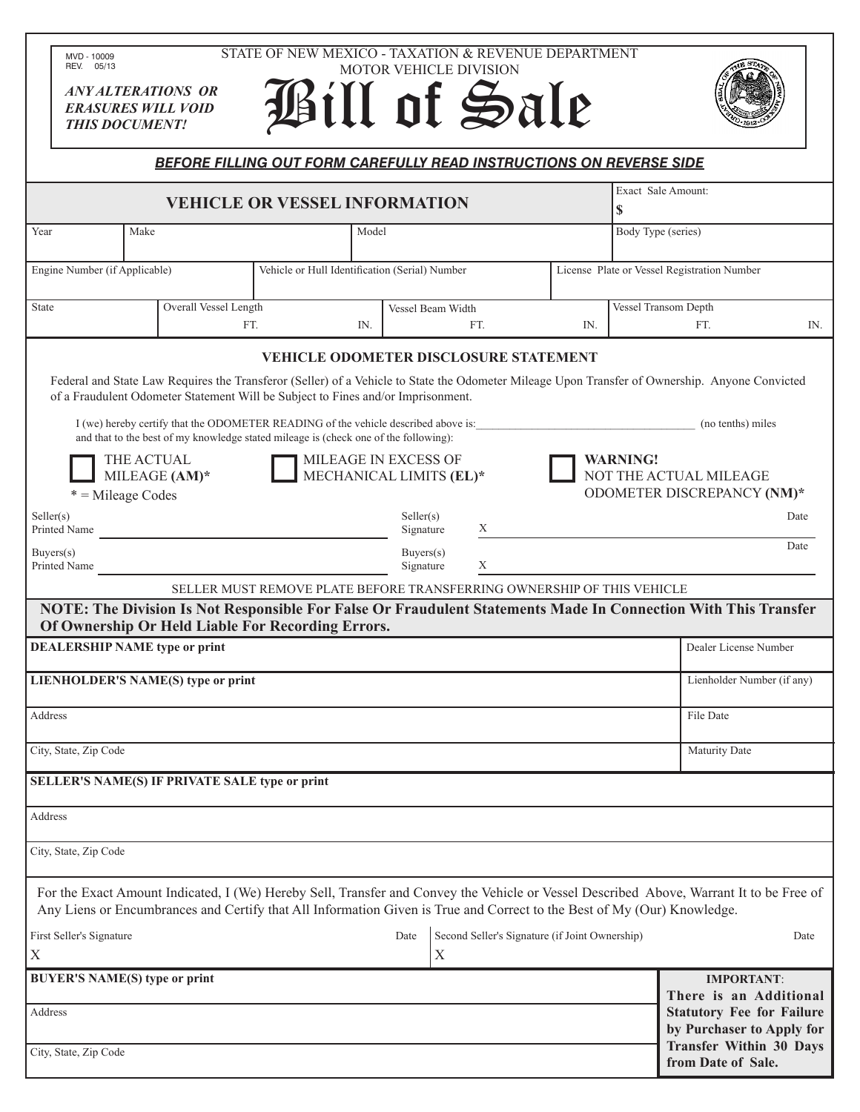|                                                 | MVD - 10009<br>REV. 05/13     |                                                        | STATE OF NEW MEXICO - TAXATION & REVENUE DEPARTMENT                                                                                                                                                                                                                                                                                                                                                                                                                                      |                        | MOTOR VEHICLE DIVISION                         |     |                    |                                                                                                                                                |      |  |
|-------------------------------------------------|-------------------------------|--------------------------------------------------------|------------------------------------------------------------------------------------------------------------------------------------------------------------------------------------------------------------------------------------------------------------------------------------------------------------------------------------------------------------------------------------------------------------------------------------------------------------------------------------------|------------------------|------------------------------------------------|-----|--------------------|------------------------------------------------------------------------------------------------------------------------------------------------|------|--|
|                                                 | <b>THIS DOCUMENT!</b>         | <b>ANY ALTERATIONS OR</b><br><b>ERASURES WILL VOID</b> | Bill of Sale                                                                                                                                                                                                                                                                                                                                                                                                                                                                             |                        |                                                |     |                    |                                                                                                                                                |      |  |
|                                                 |                               |                                                        | <b>BEFORE FILLING OUT FORM CAREFULLY READ INSTRUCTIONS ON REVERSE SIDE</b>                                                                                                                                                                                                                                                                                                                                                                                                               |                        |                                                |     |                    |                                                                                                                                                |      |  |
| <b>VEHICLE OR VESSEL INFORMATION</b><br>\$      |                               |                                                        |                                                                                                                                                                                                                                                                                                                                                                                                                                                                                          |                        |                                                |     |                    | Exact Sale Amount:                                                                                                                             |      |  |
| Make<br>Year                                    |                               |                                                        | Model                                                                                                                                                                                                                                                                                                                                                                                                                                                                                    |                        |                                                |     | Body Type (series) |                                                                                                                                                |      |  |
|                                                 | Engine Number (if Applicable) |                                                        | Vehicle or Hull Identification (Serial) Number                                                                                                                                                                                                                                                                                                                                                                                                                                           |                        |                                                |     |                    | License Plate or Vessel Registration Number                                                                                                    |      |  |
| State                                           |                               | Overall Vessel Length                                  |                                                                                                                                                                                                                                                                                                                                                                                                                                                                                          |                        | Vessel Beam Width                              |     |                    | Vessel Transom Depth                                                                                                                           |      |  |
|                                                 |                               |                                                        | FT.<br>IN.                                                                                                                                                                                                                                                                                                                                                                                                                                                                               |                        | FT.                                            | IN. |                    | FT.                                                                                                                                            | IN.  |  |
|                                                 |                               | THE ACTUAL                                             | <b>VEHICLE ODOMETER DISCLOSURE STATEMENT</b><br>Federal and State Law Requires the Transferor (Seller) of a Vehicle to State the Odometer Mileage Upon Transfer of Ownership. Anyone Convicted<br>of a Fraudulent Odometer Statement Will be Subject to Fines and/or Imprisonment.<br>I (we) hereby certify that the ODOMETER READING of the vehicle described above is:<br>and that to the best of my knowledge stated mileage is (check one of the following):<br>MILEAGE IN EXCESS OF |                        |                                                |     | <b>WARNING!</b>    | (no tenths) miles                                                                                                                              |      |  |
|                                                 | $*$ = Mileage Codes           | MILEAGE (AM)*                                          | MECHANICAL LIMITS (EL)*                                                                                                                                                                                                                                                                                                                                                                                                                                                                  |                        |                                                |     |                    | NOT THE ACTUAL MILEAGE<br>ODOMETER DISCREPANCY (NM)*                                                                                           |      |  |
| Seller(s)                                       | Printed Name                  |                                                        |                                                                                                                                                                                                                                                                                                                                                                                                                                                                                          | Seller(s)<br>Signature | X                                              |     |                    |                                                                                                                                                | Date |  |
|                                                 | Buyers(s)<br>Printed Name     |                                                        |                                                                                                                                                                                                                                                                                                                                                                                                                                                                                          | Buyers(s)<br>Signature | X                                              |     |                    |                                                                                                                                                | Date |  |
|                                                 |                               |                                                        | SELLER MUST REMOVE PLATE BEFORE TRANSFERRING OWNERSHIP OF THIS VEHICLE                                                                                                                                                                                                                                                                                                                                                                                                                   |                        |                                                |     |                    |                                                                                                                                                |      |  |
|                                                 |                               |                                                        | NOTE: The Division Is Not Responsible For False Or Fraudulent Statements Made In Connection With This Transfer<br>Of Ownership Or Held Liable For Recording Errors.                                                                                                                                                                                                                                                                                                                      |                        |                                                |     |                    |                                                                                                                                                |      |  |
|                                                 |                               | <b>DEALERSHIP NAME type or print</b>                   |                                                                                                                                                                                                                                                                                                                                                                                                                                                                                          |                        |                                                |     |                    | Dealer License Number                                                                                                                          |      |  |
|                                                 |                               | LIENHOLDER'S NAME(S) type or print                     |                                                                                                                                                                                                                                                                                                                                                                                                                                                                                          |                        |                                                |     |                    | Lienholder Number (if any)                                                                                                                     |      |  |
| Address                                         |                               |                                                        |                                                                                                                                                                                                                                                                                                                                                                                                                                                                                          |                        |                                                |     |                    | File Date                                                                                                                                      |      |  |
|                                                 | City, State, Zip Code         |                                                        |                                                                                                                                                                                                                                                                                                                                                                                                                                                                                          |                        |                                                |     |                    | Maturity Date                                                                                                                                  |      |  |
|                                                 |                               | SELLER'S NAME(S) IF PRIVATE SALE type or print         |                                                                                                                                                                                                                                                                                                                                                                                                                                                                                          |                        |                                                |     |                    |                                                                                                                                                |      |  |
| Address                                         |                               |                                                        |                                                                                                                                                                                                                                                                                                                                                                                                                                                                                          |                        |                                                |     |                    |                                                                                                                                                |      |  |
|                                                 | City, State, Zip Code         |                                                        |                                                                                                                                                                                                                                                                                                                                                                                                                                                                                          |                        |                                                |     |                    |                                                                                                                                                |      |  |
|                                                 |                               |                                                        | For the Exact Amount Indicated, I (We) Hereby Sell, Transfer and Convey the Vehicle or Vessel Described Above, Warrant It to be Free of<br>Any Liens or Encumbrances and Certify that All Information Given is True and Correct to the Best of My (Our) Knowledge.                                                                                                                                                                                                                       |                        |                                                |     |                    |                                                                                                                                                |      |  |
|                                                 | First Seller's Signature      |                                                        |                                                                                                                                                                                                                                                                                                                                                                                                                                                                                          | Date                   | Second Seller's Signature (if Joint Ownership) |     |                    |                                                                                                                                                | Date |  |
| X                                               |                               |                                                        |                                                                                                                                                                                                                                                                                                                                                                                                                                                                                          |                        | X                                              |     |                    |                                                                                                                                                |      |  |
| <b>BUYER'S NAME(S) type or print</b><br>Address |                               |                                                        |                                                                                                                                                                                                                                                                                                                                                                                                                                                                                          |                        |                                                |     |                    | <b>IMPORTANT:</b><br>There is an Additional<br><b>Statutory Fee for Failure</b><br>by Purchaser to Apply for<br><b>Transfer Within 30 Days</b> |      |  |
|                                                 | $City$ State $ZipCode$        |                                                        |                                                                                                                                                                                                                                                                                                                                                                                                                                                                                          |                        |                                                |     |                    |                                                                                                                                                |      |  |

**from Date of Sale.**

City, State, Zip Code